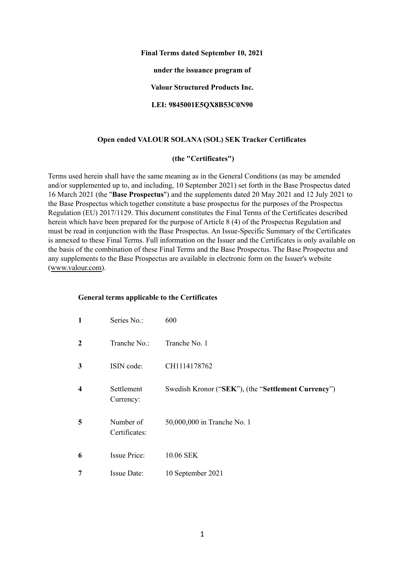#### **Final Terms dated September 10, 2021**

**under the issuance program of**

**Valour Structured Products Inc.**

**LEI: 9845001E5QX8B53C0N90**

#### **Open ended VALOUR SOLANA (SOL) SEK Tracker Certificates**

#### **(the "Certificates")**

Terms used herein shall have the same meaning as in the General Conditions (as may be amended and/or supplemented up to, and including, 10 September 2021) set forth in the Base Prospectus dated 16 March 2021 (the "**Base Prospectus**") and the supplements dated 20 May 2021 and 12 July 2021 to the Base Prospectus which together constitute a base prospectus for the purposes of the Prospectus Regulation (EU) 2017/1129. This document constitutes the Final Terms of the Certificates described herein which have been prepared for the purpose of Article 8 (4) of the Prospectus Regulation and must be read in conjunction with the Base Prospectus. An Issue-Specific Summary of the Certificates is annexed to these Final Terms. Full information on the Issuer and the Certificates is only available on the basis of the combination of these Final Terms and the Base Prospectus. The Base Prospectus and any supplements to the Base Prospectus are available in electronic form on the Issuer's website ([www.valour.com\)](http://www.valour.com).

#### **General terms applicable to the Certificates**

| $\mathbf{1}$ | Series No.:                | 600                                                 |
|--------------|----------------------------|-----------------------------------------------------|
| $\mathbf{2}$ | Tranche No.:               | Tranche No. 1                                       |
| 3            | ISIN code:                 | CH1114178762                                        |
| 4            | Settlement<br>Currency:    | Swedish Kronor ("SEK"), (the "Settlement Currency") |
| 5            | Number of<br>Certificates: | 50,000,000 in Tranche No. 1                         |
| 6            | <b>Issue Price:</b>        | 10.06 SEK                                           |
| 7            | Issue Date:                | 10 September 2021                                   |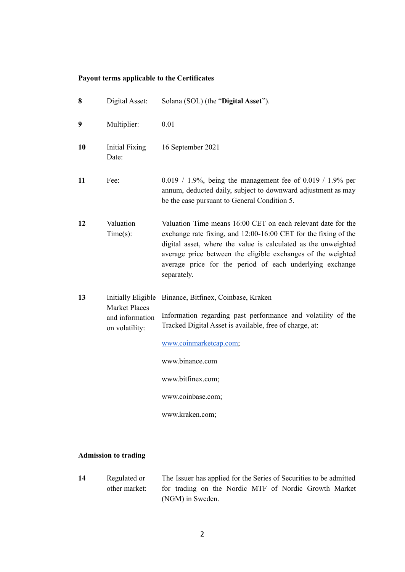## **Payout terms applicable to the Certificates**

| 8  | Digital Asset:                                                                         | Solana (SOL) (the "Digital Asset").                                                                                                                                                                                                                                                                                                          |  |  |
|----|----------------------------------------------------------------------------------------|----------------------------------------------------------------------------------------------------------------------------------------------------------------------------------------------------------------------------------------------------------------------------------------------------------------------------------------------|--|--|
| 9  | Multiplier:                                                                            | 0.01                                                                                                                                                                                                                                                                                                                                         |  |  |
| 10 | Initial Fixing<br>Date:                                                                | 16 September 2021                                                                                                                                                                                                                                                                                                                            |  |  |
| 11 | Fee:                                                                                   | 0.019 / 1.9%, being the management fee of 0.019 / 1.9% per<br>annum, deducted daily, subject to downward adjustment as may<br>be the case pursuant to General Condition 5.                                                                                                                                                                   |  |  |
| 12 | Valuation<br>Time(s):                                                                  | Valuation Time means 16:00 CET on each relevant date for the<br>exchange rate fixing, and 12:00-16:00 CET for the fixing of the<br>digital asset, where the value is calculated as the unweighted<br>average price between the eligible exchanges of the weighted<br>average price for the period of each underlying exchange<br>separately. |  |  |
| 13 | <b>Initially Eligible</b><br><b>Market Places</b><br>and information<br>on volatility: | Binance, Bitfinex, Coinbase, Kraken<br>Information regarding past performance and volatility of the<br>Tracked Digital Asset is available, free of charge, at:<br>www.coinmarketcap.com;<br>www.binance.com<br>www.bitfinex.com;<br>www.coinbase.com;<br>www.kraken.com;                                                                     |  |  |

# **Admission to trading**

**14** Regulated or other market: The Issuer has applied for the Series of Securities to be admitted for trading on the Nordic MTF of Nordic Growth Market (NGM) in Sweden.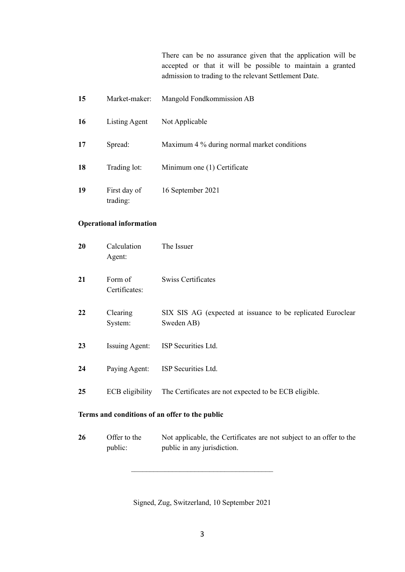There can be no assurance given that the application will be accepted or that it will be possible to maintain a granted admission to trading to the relevant Settlement Date.

 Market-maker: Mangold Fondkommission AB Listing Agent Not Applicable Spread: Maximum 4 % during normal market conditions Trading lot: Minimum one (1) Certificate First day of trading: September 2021

#### **Operational information**

| 20                                             | Calculation<br>Agent:    | The Issuer                                                                |  |  |  |
|------------------------------------------------|--------------------------|---------------------------------------------------------------------------|--|--|--|
| 21                                             | Form of<br>Certificates: | <b>Swiss Certificates</b>                                                 |  |  |  |
| 22                                             | Clearing<br>System:      | SIX SIS AG (expected at issuance to be replicated Euroclear<br>Sweden AB) |  |  |  |
| 23                                             | <b>Issuing Agent:</b>    | ISP Securities Ltd.                                                       |  |  |  |
| 24                                             | Paying Agent:            | ISP Securities Ltd.                                                       |  |  |  |
| 25                                             | ECB eligibility          | The Certificates are not expected to be ECB eligible.                     |  |  |  |
| Terms and conditions of an offer to the public |                          |                                                                           |  |  |  |

**26** Offer to the public: Not applicable, the Certificates are not subject to an offer to the public in any jurisdiction.

Signed, Zug, Switzerland, 10 September 2021

 $\mathcal{L}_\text{max}$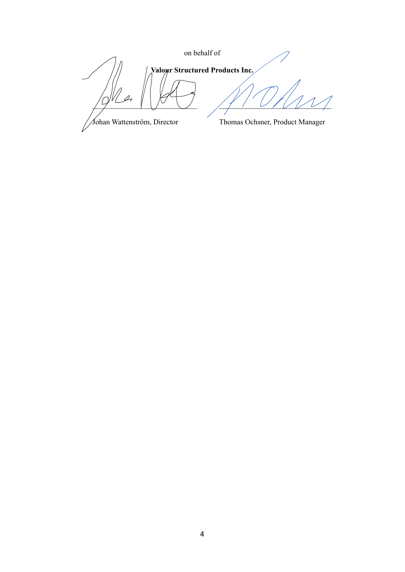on behalf of **Valour Structured Products Inc.**  $\frac{1}{2}$   $\frac{1}{2}$   $\frac{1}{2}$   $\frac{1}{2}$   $\frac{1}{2}$   $\frac{1}{2}$   $\frac{1}{2}$   $\frac{1}{2}$   $\frac{1}{2}$   $\frac{1}{2}$   $\frac{1}{2}$   $\frac{1}{2}$   $\frac{1}{2}$ Johan Wattenström, Director Thomas Ochsner, Product Manager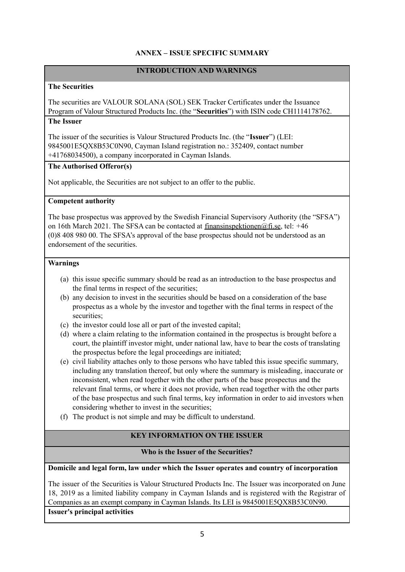## **ANNEX – ISSUE SPECIFIC SUMMARY**

# **INTRODUCTION AND WARNINGS**

#### **The Securities**

The securities are VALOUR SOLANA (SOL) SEK Tracker Certificates under the Issuance Program of Valour Structured Products Inc. (the "**Securities**") with ISIN code CH1114178762. **The Issuer**

The issuer of the securities is Valour Structured Products Inc. (the "**Issuer**") (LEI: 9845001E5QX8B53C0N90, Cayman Island registration no.: 352409, contact number +41768034500), a company incorporated in Cayman Islands.

#### **The Authorised Offeror(s)**

Not applicable, the Securities are not subject to an offer to the public.

#### **Competent authority**

The base prospectus was approved by the Swedish Financial Supervisory Authority (the "SFSA") on 16th March 2021. The SFSA can be contacted at [finansinspektionen@fi.se](mailto:finansinspektionen@fi.se), tel: *+*46 (0)8 408 980 00. The SFSA's approval of the base prospectus should not be understood as an endorsement of the securities.

#### **Warnings**

- (a) this issue specific summary should be read as an introduction to the base prospectus and the final terms in respect of the securities;
- (b) any decision to invest in the securities should be based on a consideration of the base prospectus as a whole by the investor and together with the final terms in respect of the securities;
- (c) the investor could lose all or part of the invested capital;
- (d) where a claim relating to the information contained in the prospectus is brought before a court, the plaintiff investor might, under national law, have to bear the costs of translating the prospectus before the legal proceedings are initiated;
- (e) civil liability attaches only to those persons who have tabled this issue specific summary, including any translation thereof, but only where the summary is misleading, inaccurate or inconsistent, when read together with the other parts of the base prospectus and the relevant final terms, or where it does not provide, when read together with the other parts of the base prospectus and such final terms, key information in order to aid investors when considering whether to invest in the securities;
- (f) The product is not simple and may be difficult to understand.

# **KEY INFORMATION ON THE ISSUER**

#### **Who is the Issuer of the Securities?**

#### **Domicile and legal form, law under which the Issuer operates and country of incorporation**

The issuer of the Securities is Valour Structured Products Inc. The Issuer was incorporated on June 18, 2019 as a limited liability company in Cayman Islands and is registered with the Registrar of Companies as an exempt company in Cayman Islands. Its LEI is 9845001E5QX8B53C0N90. **Issuer's principal activities**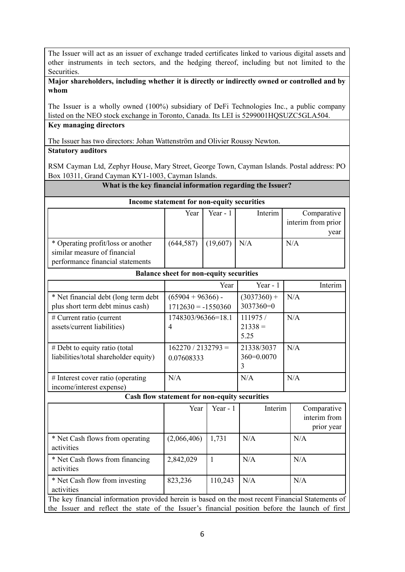The Issuer will act as an issuer of exchange traded certificates linked to various digital assets and other instruments in tech sectors, and the hedging thereof, including but not limited to the Securities.

#### **Major shareholders, including whether it is directly or indirectly owned or controlled and by whom**

The Issuer is a wholly owned (100%) subsidiary of DeFi Technologies Inc., a public company listed on the NEO stock exchange in Toronto, Canada. Its LEI is 5299001HQSUZC5GLA504.

# **Key managing directors**

The Issuer has two directors: Johan Wattenström and Olivier Roussy Newton.

## **Statutory auditors**

RSM Cayman Ltd, Zephyr House, Mary Street, George Town, Cayman Islands. Postal address: PO Box 10311, Grand Cayman KY1-1003, Cayman Islands.

## **What is the key financial information regarding the Issuer?**

| Income statement for non-equity securities                                                             |                                             |              |                               |                                           |  |  |  |  |  |
|--------------------------------------------------------------------------------------------------------|---------------------------------------------|--------------|-------------------------------|-------------------------------------------|--|--|--|--|--|
|                                                                                                        | Year                                        | Year - $1$   | Interim                       | Comparative<br>interim from prior<br>year |  |  |  |  |  |
| * Operating profit/loss or another<br>similar measure of financial<br>performance financial statements | (644, 587)                                  | (19,607)     | N/A                           | N/A                                       |  |  |  |  |  |
| <b>Balance sheet for non-equity securities</b>                                                         |                                             |              |                               |                                           |  |  |  |  |  |
|                                                                                                        |                                             | Year         | Year - $1$                    | Interim                                   |  |  |  |  |  |
| * Net financial debt (long term debt<br>plus short term debt minus cash)                               | $(65904 + 96366)$ -<br>$1712630 = -1550360$ |              | $(3037360) +$<br>3037360=0    | N/A                                       |  |  |  |  |  |
| # Current ratio (current<br>assets/current liabilities)                                                | 1748303/96366=18.1<br>$\overline{4}$        |              | 111975 /<br>$21338 =$<br>5.25 | N/A                                       |  |  |  |  |  |
| # Debt to equity ratio (total<br>liabilities/total shareholder equity)                                 | $162270 / 2132793 =$<br>0.07608333          |              | 21338/3037<br>360=0.0070<br>3 | N/A                                       |  |  |  |  |  |
| # Interest cover ratio (operating<br>income/interest expense)                                          | N/A                                         |              | N/A                           | N/A                                       |  |  |  |  |  |
| Cash flow statement for non-equity securities                                                          |                                             |              |                               |                                           |  |  |  |  |  |
|                                                                                                        | Year                                        | Year - $1$   | Interim                       | Comparative<br>interim from<br>prior year |  |  |  |  |  |
| * Net Cash flows from operating<br>activities                                                          | (2,066,406)                                 | 1,731        | N/A                           | N/A                                       |  |  |  |  |  |
| * Net Cash flows from financing<br>activities                                                          | 2,842,029                                   | $\mathbf{1}$ | N/A                           | N/A                                       |  |  |  |  |  |
| * Net Cash flow from investing<br>activities                                                           | 823,236                                     | 110,243      | N/A                           | N/A                                       |  |  |  |  |  |
| The key financial information provided herein is based on the most recent Financial Statements of      |                                             |              |                               |                                           |  |  |  |  |  |

the Issuer and reflect the state of the Issuer's financial position before the launch of first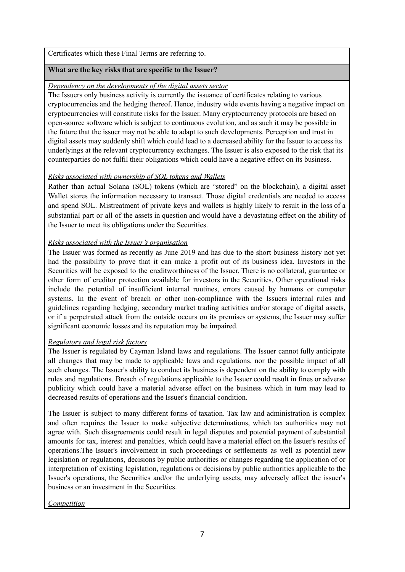Certificates which these Final Terms are referring to.

#### **What are the key risks that are specific to the Issuer?**

#### *Dependency on the developments of the digital assets sector*

The Issuers only business activity is currently the issuance of certificates relating to various cryptocurrencies and the hedging thereof. Hence, industry wide events having a negative impact on cryptocurrencies will constitute risks for the Issuer. Many cryptocurrency protocols are based on open-source software which is subject to continuous evolution, and as such it may be possible in the future that the issuer may not be able to adapt to such developments. Perception and trust in digital assets may suddenly shift which could lead to a decreased ability for the Issuer to access its underlyings at the relevant cryptocurrency exchanges. The Issuer is also exposed to the risk that its counterparties do not fulfil their obligations which could have a negative effect on its business.

## *Risks associated with ownership of SOL tokens and Wallets*

Rather than actual Solana (SOL) tokens (which are "stored" on the blockchain), a digital asset Wallet stores the information necessary to transact. Those digital credentials are needed to access and spend SOL. Mistreatment of private keys and wallets is highly likely to result in the loss of a substantial part or all of the assets in question and would have a devastating effect on the ability of the Issuer to meet its obligations under the Securities.

## *Risks associated with the Issuer's organisation*

The Issuer was formed as recently as June 2019 and has due to the short business history not yet had the possibility to prove that it can make a profit out of its business idea. Investors in the Securities will be exposed to the creditworthiness of the Issuer. There is no collateral, guarantee or other form of creditor protection available for investors in the Securities. Other operational risks include the potential of insufficient internal routines, errors caused by humans or computer systems. In the event of breach or other non-compliance with the Issuers internal rules and guidelines regarding hedging, secondary market trading activities and/or storage of digital assets, or if a perpetrated attack from the outside occurs on its premises or systems, the Issuer may suffer significant economic losses and its reputation may be impaired.

#### *Regulatory and legal risk factors*

The Issuer is regulated by Cayman Island laws and regulations. The Issuer cannot fully anticipate all changes that may be made to applicable laws and regulations, nor the possible impact of all such changes. The Issuer's ability to conduct its business is dependent on the ability to comply with rules and regulations. Breach of regulations applicable to the Issuer could result in fines or adverse publicity which could have a material adverse effect on the business which in turn may lead to decreased results of operations and the Issuer's financial condition.

The Issuer is subject to many different forms of taxation. Tax law and administration is complex and often requires the Issuer to make subjective determinations, which tax authorities may not agree with. Such disagreements could result in legal disputes and potential payment of substantial amounts for tax, interest and penalties, which could have a material effect on the Issuer's results of operations.The Issuer's involvement in such proceedings or settlements as well as potential new legislation or regulations, decisions by public authorities or changes regarding the application of or interpretation of existing legislation, regulations or decisions by public authorities applicable to the Issuer's operations, the Securities and/or the underlying assets, may adversely affect the issuer's business or an investment in the Securities.

*Competition*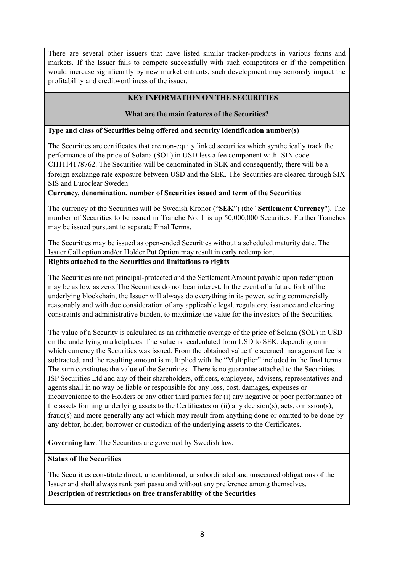There are several other issuers that have listed similar tracker-products in various forms and markets. If the Issuer fails to compete successfully with such competitors or if the competition would increase significantly by new market entrants, such development may seriously impact the profitability and creditworthiness of the issuer.

# **KEY INFORMATION ON THE SECURITIES**

## **What are the main features of the Securities?**

#### **Type and class of Securities being offered and security identification number(s)**

The Securities are certificates that are non-equity linked securities which synthetically track the performance of the price of Solana (SOL) in USD less a fee component with ISIN code CH1114178762. The Securities will be denominated in SEK and consequently, there will be a foreign exchange rate exposure between USD and the SEK. The Securities are cleared through SIX SIS and Euroclear Sweden.

#### **Currency, denomination, number of Securities issued and term of the Securities**

The currency of the Securities will be Swedish Kronor ("**SEK**") (the "**Settlement Currency**"). The number of Securities to be issued in Tranche No. 1 is up 50,000,000 Securities. Further Tranches may be issued pursuant to separate Final Terms.

The Securities may be issued as open-ended Securities without a scheduled maturity date. The Issuer Call option and/or Holder Put Option may result in early redemption.

#### **Rights attached to the Securities and limitations to rights**

The Securities are not principal-protected and the Settlement Amount payable upon redemption may be as low as zero. The Securities do not bear interest. In the event of a future fork of the underlying blockchain, the Issuer will always do everything in its power, acting commercially reasonably and with due consideration of any applicable legal, regulatory, issuance and clearing constraints and administrative burden, to maximize the value for the investors of the Securities.

The value of a Security is calculated as an arithmetic average of the price of Solana (SOL) in USD on the underlying marketplaces. The value is recalculated from USD to SEK, depending on in which currency the Securities was issued. From the obtained value the accrued management fee is subtracted, and the resulting amount is multiplied with the "Multiplier" included in the final terms. The sum constitutes the value of the Securities. There is no guarantee attached to the Securities. ISP Securities Ltd and any of their shareholders, officers, employees, advisers, representatives and agents shall in no way be liable or responsible for any loss, cost, damages, expenses or inconvenience to the Holders or any other third parties for (i) any negative or poor performance of the assets forming underlying assets to the Certificates or (ii) any decision(s), acts, omission(s), fraud(s) and more generally any act which may result from anything done or omitted to be done by any debtor, holder, borrower or custodian of the underlying assets to the Certificates.

**Governing law**: The Securities are governed by Swedish law.

#### **Status of the Securities**

The Securities constitute direct, unconditional, unsubordinated and unsecured obligations of the Issuer and shall always rank pari passu and without any preference among themselves. **Description of restrictions on free transferability of the Securities**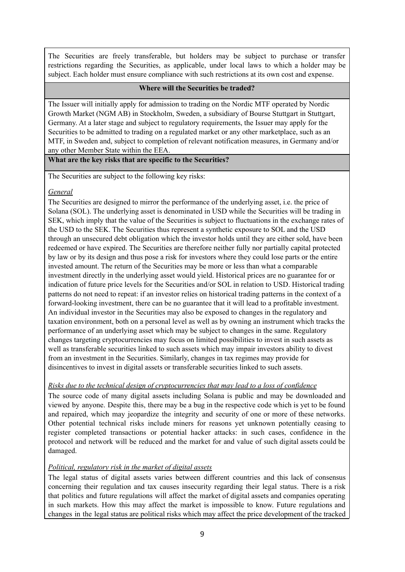The Securities are freely transferable, but holders may be subject to purchase or transfer restrictions regarding the Securities, as applicable, under local laws to which a holder may be subject. Each holder must ensure compliance with such restrictions at its own cost and expense.

#### **Where will the Securities be traded?**

The Issuer will initially apply for admission to trading on the Nordic MTF operated by Nordic Growth Market (NGM AB) in Stockholm, Sweden, a subsidiary of Bourse Stuttgart in Stuttgart, Germany. At a later stage and subject to regulatory requirements, the Issuer may apply for the Securities to be admitted to trading on a regulated market or any other marketplace, such as an MTF, in Sweden and, subject to completion of relevant notification measures, in Germany and/or any other Member State within the EEA.

**What are the key risks that are specific to the Securities?**

The Securities are subject to the following key risks:

## *General*

The Securities are designed to mirror the performance of the underlying asset, i.e. the price of Solana (SOL). The underlying asset is denominated in USD while the Securities will be trading in SEK, which imply that the value of the Securities is subject to fluctuations in the exchange rates of the USD to the SEK. The Securities thus represent a synthetic exposure to SOL and the USD through an unsecured debt obligation which the investor holds until they are either sold, have been redeemed or have expired. The Securities are therefore neither fully nor partially capital protected by law or by its design and thus pose a risk for investors where they could lose parts or the entire invested amount. The return of the Securities may be more or less than what a comparable investment directly in the underlying asset would yield. Historical prices are no guarantee for or indication of future price levels for the Securities and/or SOL in relation to USD. Historical trading patterns do not need to repeat: if an investor relies on historical trading patterns in the context of a forward-looking investment, there can be no guarantee that it will lead to a profitable investment. An individual investor in the Securities may also be exposed to changes in the regulatory and taxation environment, both on a personal level as well as by owning an instrument which tracks the performance of an underlying asset which may be subject to changes in the same. Regulatory changes targeting cryptocurrencies may focus on limited possibilities to invest in such assets as well as transferable securities linked to such assets which may impair investors ability to divest from an investment in the Securities. Similarly, changes in tax regimes may provide for disincentives to invest in digital assets or transferable securities linked to such assets.

# *Risks due to the technical design of cryptocurrencies that may lead to a loss of confidence*

The source code of many digital assets including Solana is public and may be downloaded and viewed by anyone. Despite this, there may be a bug in the respective code which is yet to be found and repaired, which may jeopardize the integrity and security of one or more of these networks. Other potential technical risks include miners for reasons yet unknown potentially ceasing to register completed transactions or potential hacker attacks: in such cases, confidence in the protocol and network will be reduced and the market for and value of such digital assets could be damaged.

# *Political, regulatory risk in the market of digital assets*

The legal status of digital assets varies between different countries and this lack of consensus concerning their regulation and tax causes insecurity regarding their legal status. There is a risk that politics and future regulations will affect the market of digital assets and companies operating in such markets. How this may affect the market is impossible to know. Future regulations and changes in the legal status are political risks which may affect the price development of the tracked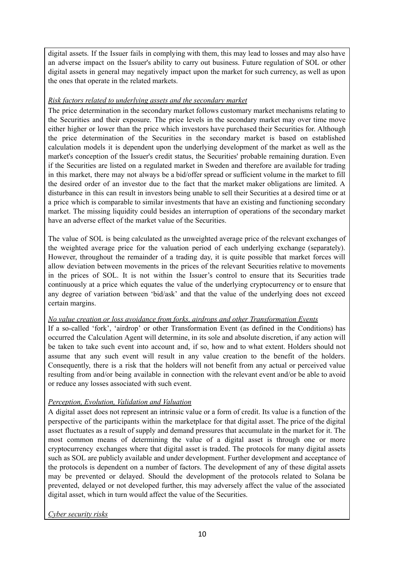digital assets. If the Issuer fails in complying with them, this may lead to losses and may also have an adverse impact on the Issuer's ability to carry out business. Future regulation of SOL or other digital assets in general may negatively impact upon the market for such currency, as well as upon the ones that operate in the related markets.

# *Risk factors related to underlying assets and the secondary market*

The price determination in the secondary market follows customary market mechanisms relating to the Securities and their exposure. The price levels in the secondary market may over time move either higher or lower than the price which investors have purchased their Securities for. Although the price determination of the Securities in the secondary market is based on established calculation models it is dependent upon the underlying development of the market as well as the market's conception of the Issuer's credit status, the Securities' probable remaining duration. Even if the Securities are listed on a regulated market in Sweden and therefore are available for trading in this market, there may not always be a bid/offer spread or sufficient volume in the market to fill the desired order of an investor due to the fact that the market maker obligations are limited. A disturbance in this can result in investors being unable to sell their Securities at a desired time or at a price which is comparable to similar investments that have an existing and functioning secondary market. The missing liquidity could besides an interruption of operations of the secondary market have an adverse effect of the market value of the Securities.

The value of SOL is being calculated as the unweighted average price of the relevant exchanges of the weighted average price for the valuation period of each underlying exchange (separately). However, throughout the remainder of a trading day, it is quite possible that market forces will allow deviation between movements in the prices of the relevant Securities relative to movements in the prices of SOL. It is not within the Issuer's control to ensure that its Securities trade continuously at a price which equates the value of the underlying cryptocurrency or to ensure that any degree of variation between 'bid/ask' and that the value of the underlying does not exceed certain margins.

# *No value creation or loss avoidance from forks, airdrops and other Transformation Events*

If a so-called 'fork', 'airdrop' or other Transformation Event (as defined in the Conditions) has occurred the Calculation Agent will determine, in its sole and absolute discretion, if any action will be taken to take such event into account and, if so, how and to what extent. Holders should not assume that any such event will result in any value creation to the benefit of the holders. Consequently, there is a risk that the holders will not benefit from any actual or perceived value resulting from and/or being available in connection with the relevant event and/or be able to avoid or reduce any losses associated with such event.

# *Perception, Evolution, Validation and Valuation*

A digital asset does not represent an intrinsic value or a form of credit. Its value is a function of the perspective of the participants within the marketplace for that digital asset. The price of the digital asset fluctuates as a result of supply and demand pressures that accumulate in the market for it. The most common means of determining the value of a digital asset is through one or more cryptocurrency exchanges where that digital asset is traded. The protocols for many digital assets such as SOL are publicly available and under development. Further development and acceptance of the protocols is dependent on a number of factors. The development of any of these digital assets may be prevented or delayed. Should the development of the protocols related to Solana be prevented, delayed or not developed further, this may adversely affect the value of the associated digital asset, which in turn would affect the value of the Securities.

# *Cyber security risks*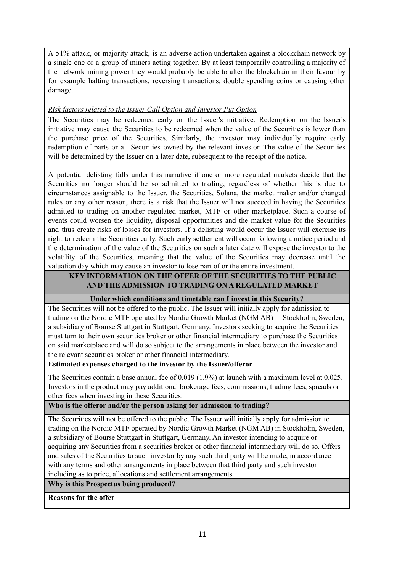A 51% attack, or majority attack, is an adverse action undertaken against a blockchain network by a single one or a group of miners acting together. By at least temporarily controlling a majority of the network mining power they would probably be able to alter the blockchain in their favour by for example halting transactions, reversing transactions, double spending coins or causing other damage.

## *Risk factors related to the Issuer Call Option and Investor Put Option*

The Securities may be redeemed early on the Issuer's initiative. Redemption on the Issuer's initiative may cause the Securities to be redeemed when the value of the Securities is lower than the purchase price of the Securities. Similarly, the investor may individually require early redemption of parts or all Securities owned by the relevant investor. The value of the Securities will be determined by the Issuer on a later date, subsequent to the receipt of the notice.

A potential delisting falls under this narrative if one or more regulated markets decide that the Securities no longer should be so admitted to trading, regardless of whether this is due to circumstances assignable to the Issuer, the Securities, Solana, the market maker and/or changed rules or any other reason, there is a risk that the Issuer will not succeed in having the Securities admitted to trading on another regulated market, MTF or other marketplace. Such a course of events could worsen the liquidity, disposal opportunities and the market value for the Securities and thus create risks of losses for investors. If a delisting would occur the Issuer will exercise its right to redeem the Securities early. Such early settlement will occur following a notice period and the determination of the value of the Securities on such a later date will expose the investor to the volatility of the Securities, meaning that the value of the Securities may decrease until the valuation day which may cause an investor to lose part of or the entire investment.

## **KEY INFORMATION ON THE OFFER OF THE SECURITIES TO THE PUBLIC AND THE ADMISSION TO TRADING ON A REGULATED MARKET**

#### **Under which conditions and timetable can I invest in this Security?**

The Securities will not be offered to the public. The Issuer will initially apply for admission to trading on the Nordic MTF operated by Nordic Growth Market (NGM AB) in Stockholm, Sweden, a subsidiary of Bourse Stuttgart in Stuttgart, Germany. Investors seeking to acquire the Securities must turn to their own securities broker or other financial intermediary to purchase the Securities on said marketplace and will do so subject to the arrangements in place between the investor and the relevant securities broker or other financial intermediary.

#### **Estimated expenses charged to the investor by the Issuer/offeror**

The Securities contain a base annual fee of 0.019 (1.9%) at launch with a maximum level at 0.025. Investors in the product may pay additional brokerage fees, commissions, trading fees, spreads or other fees when investing in these Securities.

# **Who is the offeror and/or the person asking for admission to trading?**

The Securities will not be offered to the public. The Issuer will initially apply for admission to trading on the Nordic MTF operated by Nordic Growth Market (NGM AB) in Stockholm, Sweden, a subsidiary of Bourse Stuttgart in Stuttgart, Germany. An investor intending to acquire or acquiring any Securities from a securities broker or other financial intermediary will do so. Offers and sales of the Securities to such investor by any such third party will be made, in accordance with any terms and other arrangements in place between that third party and such investor including as to price, allocations and settlement arrangements.

**Why is this Prospectus being produced?**

**Reasons for the offer**